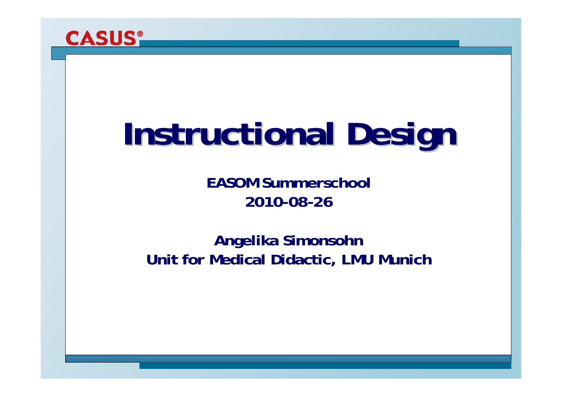

# **Instructional Instructional Design**

**EASOM Summerschool2010-08-26**

**Angelika Simonsohn Unit for Medical Didactic, LMU Munich**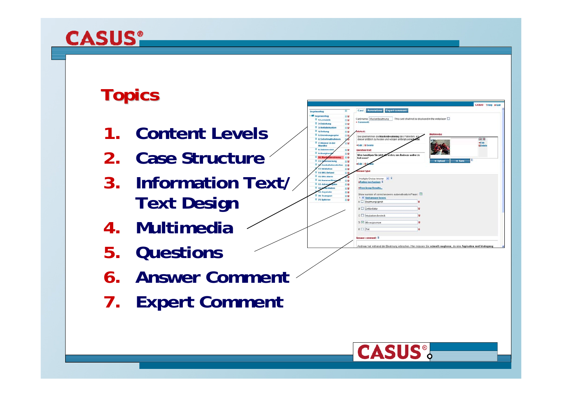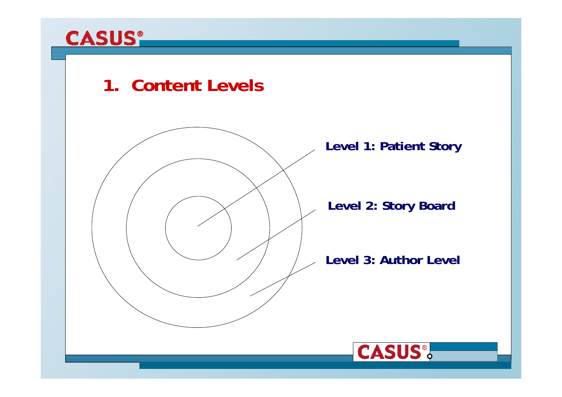

### 1. Content Levels

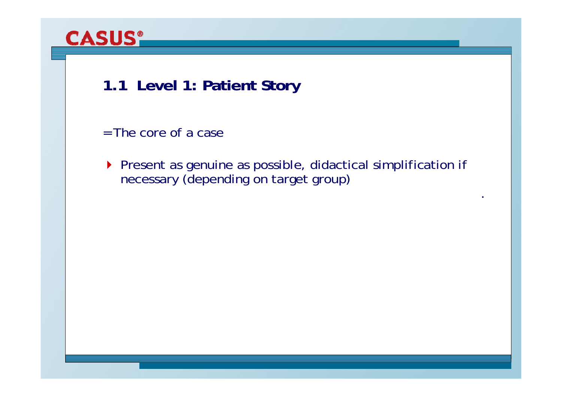### **1.1 Level 1: Patient Story**

- = The core of a case
- ▶ Present as genuine as possible, didactical simplification if necessary (depending on target group)

.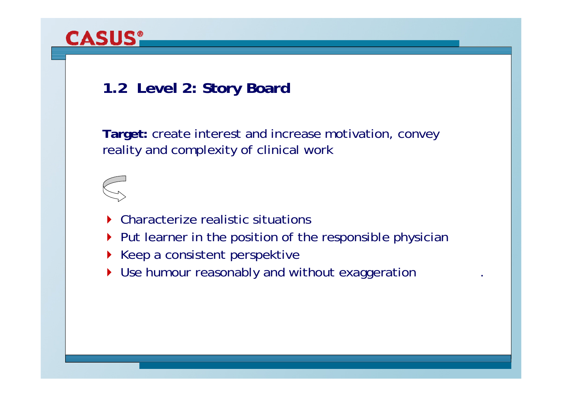### **1.2 Level 2: Story Board**

**Target:** create interest and increase motivation, convey reality and complexity of clinical work



- $\blacktriangleright$ Characterize realistic situations
- ▶ Put learner in the position of the responsible physician
- $\blacktriangleright$  Keep a consistent perspektive
- ▶ Use humour reasonably and without exaggeration  $\blacksquare$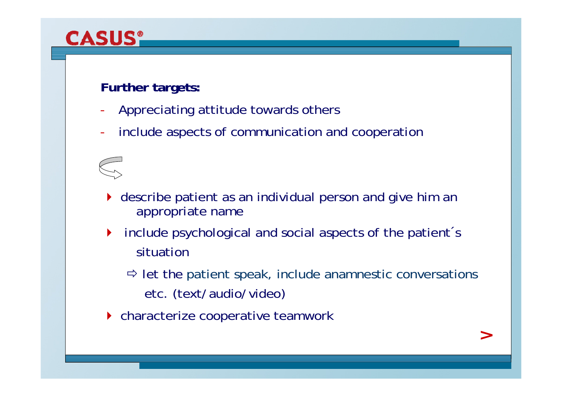### **Further targets:**

- -Appreciating attitude towards others
- include aspects of communication and cooperation



 $\blacktriangleright$  include psychological and social aspects of the patient´<sup>s</sup> situation

 $\Rightarrow$  let the patient speak, include anamnestic conversations etc. (text/audio/video)

**>**

▶ characterize cooperative teamwork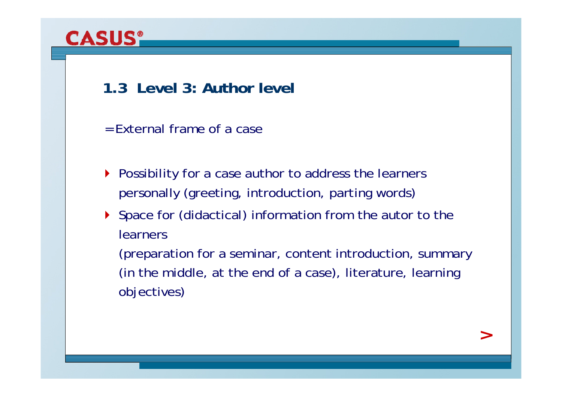## **CASUS**.

### **1.3 Level 3: Author level**

- = External frame of a case
- ▶ Possibility for a case author to address the learners personally (greeting, introduction, parting words)
- Space for (didactical) information from the autor to the learners

(preparation for a seminar, content introduction, summary (in the middle, at the end of a case), literature, learning objectives)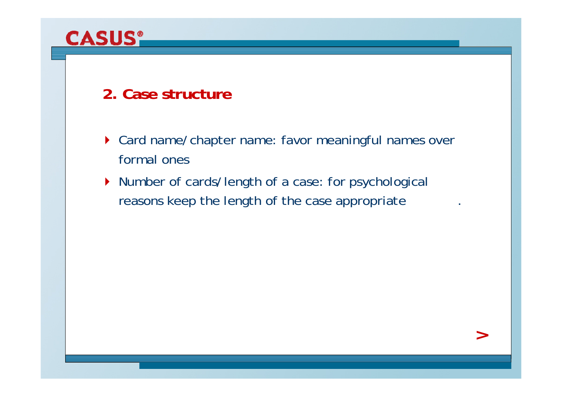## **2. Case structure**

**CASUS®** 

▶ Card name/chapter name: favor meaningful names over formal ones

**>**

 Number of cards/length of a case: for psychological reasons keep the length of the case appropriate .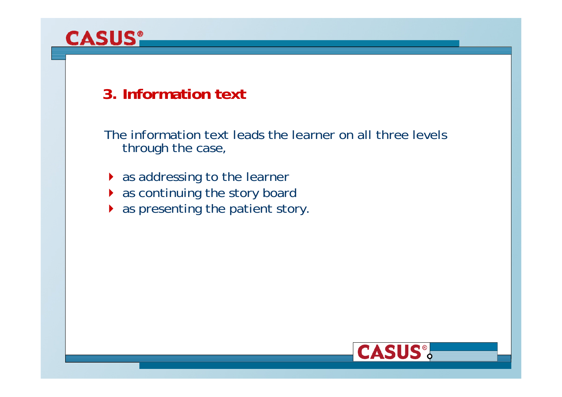### **3. Information text**

The information text leads the learner on all three levels through the case,

- ▶ as addressing to the learner
- ▶ as continuing the story board
- ▶ as presenting the patient story.

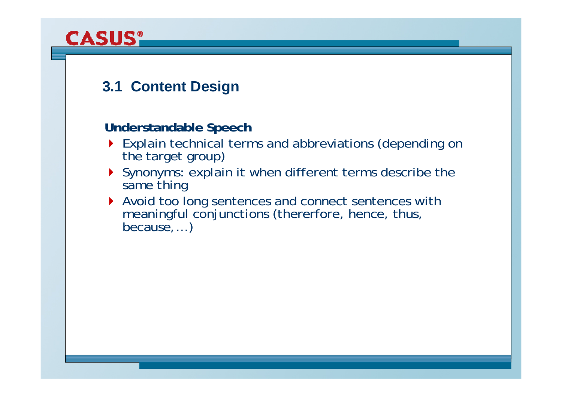### **3.1 Content Design**

### **Understandable Speech**

- Explain technical terms and abbreviations (depending on the target group)
- Synonyms: explain it when different terms describe the same thing
- Avoid too long sentences and connect sentences with meaningful conjunctions (thererfore, hence, thus, because,…)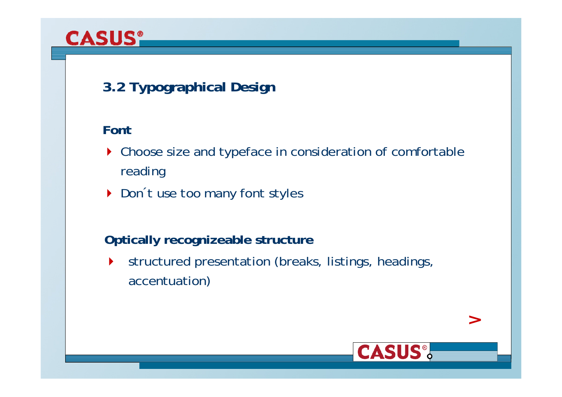### **3.2 Typographical Design**

### **Font**

- ▶ Choose size and typeface in consideration of comfortable reading
- ▶ Don't use too many font styles

### **Optically recognizeable structure**

 $\blacktriangleright$  structured presentation (breaks, listings, headings, accentuation)

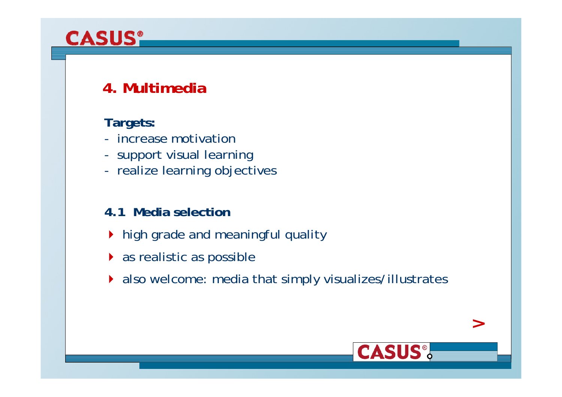### **4. Multimedia**

### **Targets:**

- increase motivation
- support visual learning
- realize learning objectives

### **4.1 Media selection**

- $\rightarrow$  high grade and meaningful quality
- as realistic as possible
- also welcome: media that simply visualizes/illustrates

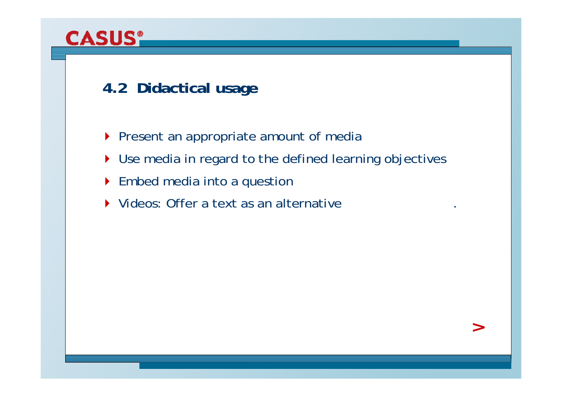### **4.2 Didactical usage**

- ▶ Present an appropriate amount of media
- Use media in regard to the defined learning objectives

- ▶ Embed media into a question
- ◆ Videos: Offer a text as an alternative  $\longrightarrow$  .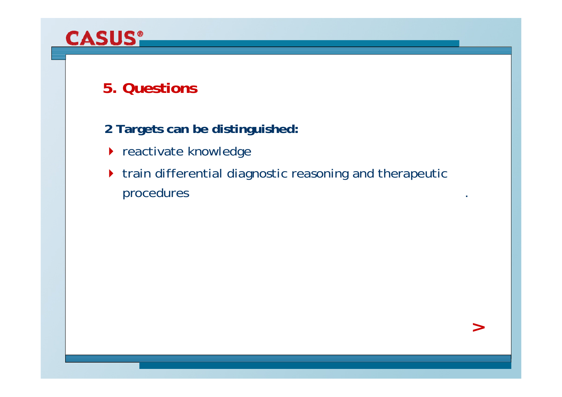## **5. Questions**

**CASUS®** 

- **2 Targets can be distinguished:**
- ▶ reactivate knowledge
- $\rightarrow$  train differential diagnostic reasoning and therapeutic procedures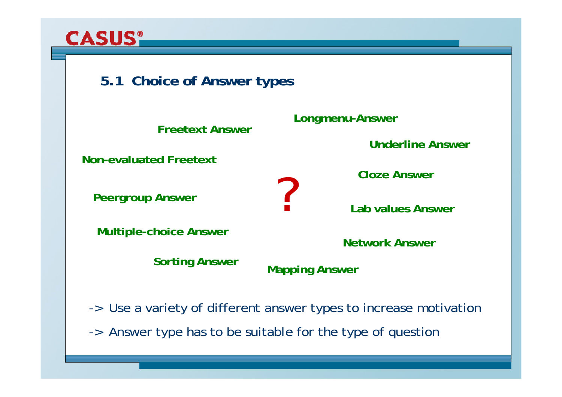### **5.1 Choice of Answer types**



-> Use a variety of different answer types to increase motivation

-> Answer type has to be suitable for the type of question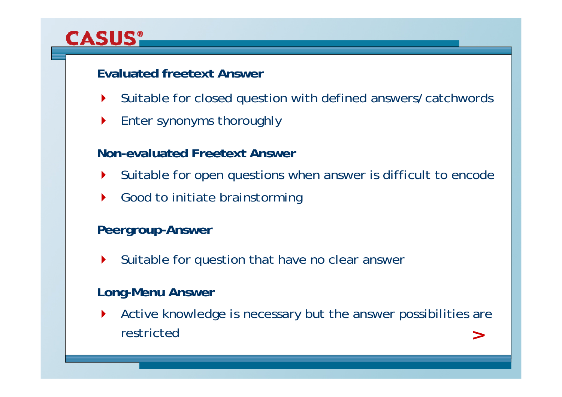### **Evaluated freetext Answer**

- $\blacktriangleright$ Suitable for closed question with defined answers/catchwords
- $\blacktriangleright$ Enter synonyms thoroughly

### **Non-evaluated Freetext Answer**

- $\blacktriangleright$ Suitable for open questions when answer is difficult to encode
- $\blacktriangleright$ Good to initiate brainstorming

### **Peergroup-Answer**

 $\blacktriangleright$ Suitable for question that have no clear answer

### **Long-Menu Answer**

 $\blacktriangleright$  Active knowledge is necessary but the answer possibilities are restricted**>**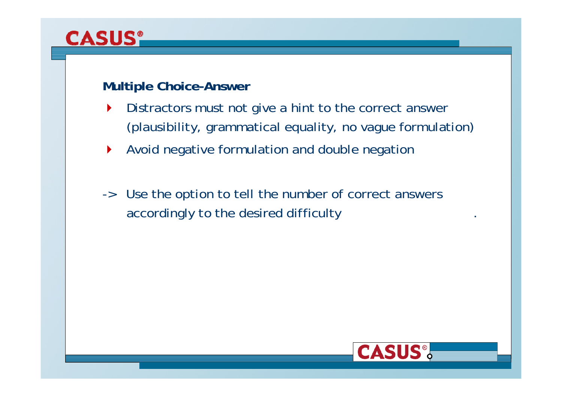### **Multiple Choice-Answer**

- $\blacktriangleright$  Distractors must not give a hint to the correct answer (plausibility, grammatical equality, no vague formulation)
- $\blacktriangleright$ Avoid negative formulation and double negation
- -> Use the option to tell the number of correct answers accordingly to the desired difficulty .

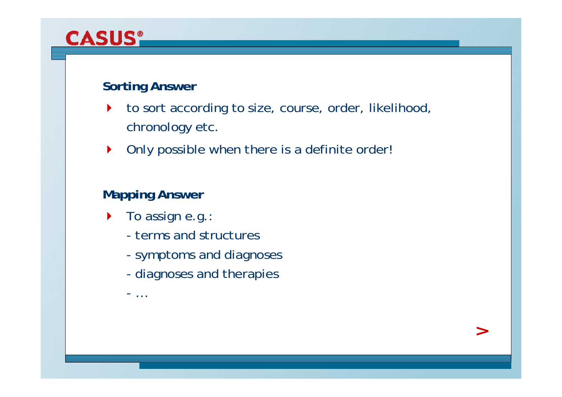### **Sorting Answer**

 $\blacktriangleright$  to sort according to size, course, order, likelihood, chronology etc.

**>**

 $\blacktriangleright$ Only possible when there is a definite order!

### **Mapping Answer**

- …

- $\blacktriangleright$  To assign e.g.:
	- terms and structures
	- symptoms and diagnoses
	- diagnoses and therapies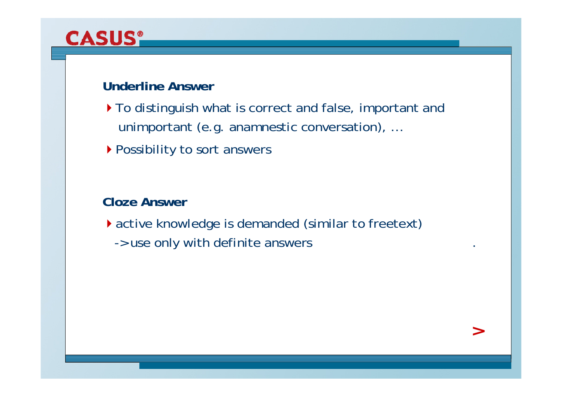#### **Underline Answer**

- ▶ To distinguish what is correct and false, important and unimportant (e.g. anamnestic conversation), …
- ▶ Possibility to sort answers

### **Cloze Answer**

active knowledge is demanded (similar to freetext)

**>**

-> use only with definite answers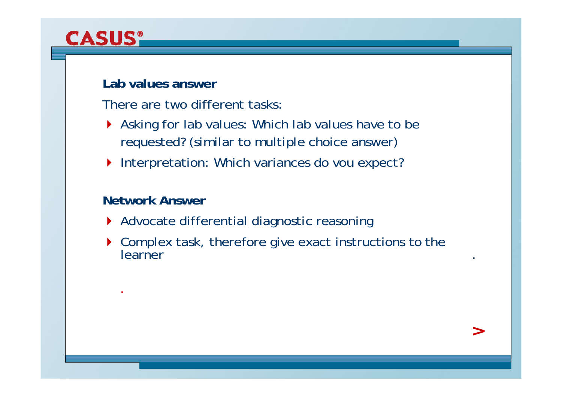#### **Lab values answer**

There are two different tasks:

- Asking for lab values: Which lab values have to be requested? (similar to multiple choice answer)
- ▶ Interpretation: Which variances do vou expect?

#### **Network Answer**

.

- Advocate differential diagnostic reasoning
- ▶ Complex task, therefore give exact instructions to the **learner**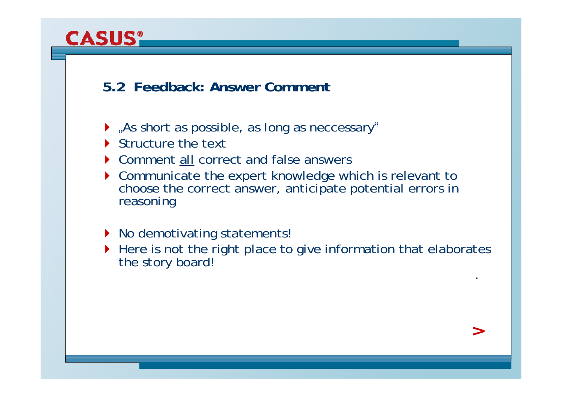### **5.2 Feedback: Answer Comment**

- As short as possible, as long as neccessary"
- Structure the text
- $\blacktriangleright$ Comment all correct and false answers
- ▶ Communicate the expert knowledge which is relevant to choose the correct answer, anticipate potential errors in reasoning
- ▶ No demotivating statements!
- ▶ Here is not the right place to give information that elaborates the story board!

.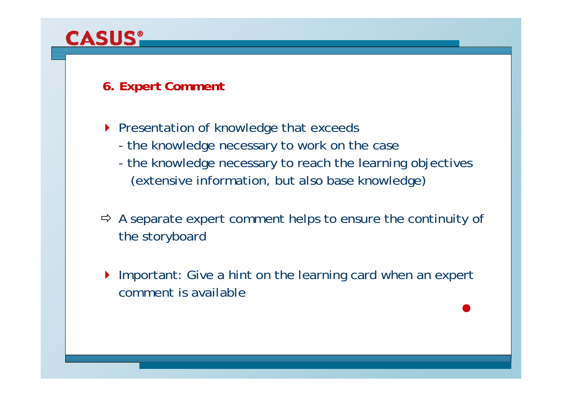## **6. Expert Comment**

**CASUS®** 

- Presentation of knowledge that exceeds
	- the knowledge necessary to work on the case
	- the knowledge necessary to reach the learning objectives (extensive information, but also base knowledge)
- $\Rightarrow$  A separate expert comment helps to ensure the continuity of the storyboard
- $\blacktriangleright$  Important: Give a hint on the learning card when an expert comment is available